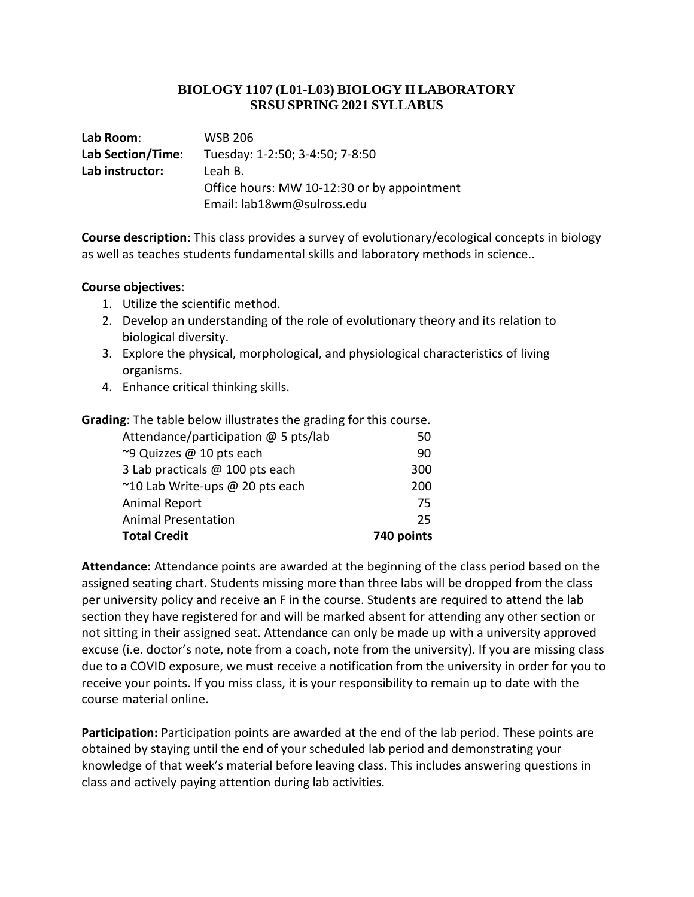## **BIOLOGY 1107 (L01-L03) BIOLOGY II LABORATORY SRSU SPRING 2021 SYLLABUS**

| Lab Room:         | <b>WSB 206</b>                              |
|-------------------|---------------------------------------------|
| Lab Section/Time: | Tuesday: 1-2:50; 3-4:50; 7-8:50             |
| Lab instructor:   | Leah B.                                     |
|                   | Office hours: MW 10-12:30 or by appointment |
|                   | Email: lab18wm@sulross.edu                  |

**Course description**: This class provides a survey of evolutionary/ecological concepts in biology as well as teaches students fundamental skills and laboratory methods in science..

## **Course objectives**:

- 1. Utilize the scientific method.
- 2. Develop an understanding of the role of evolutionary theory and its relation to biological diversity.
- 3. Explore the physical, morphological, and physiological characteristics of living organisms.
- 4. Enhance critical thinking skills.

| <b>Grading:</b> The table below illustrates the grading for this course. |            |  |
|--------------------------------------------------------------------------|------------|--|
| Attendance/participation @ 5 pts/lab                                     | 50         |  |
| ~9 Quizzes @ 10 pts each                                                 | 90         |  |
| 3 Lab practicals @ 100 pts each                                          | 300        |  |
| ~10 Lab Write-ups @ 20 pts each                                          | 200        |  |
| Animal Report                                                            | 75         |  |
| <b>Animal Presentation</b>                                               | 25         |  |
| <b>Total Credit</b>                                                      | 740 points |  |

**Attendance:** Attendance points are awarded at the beginning of the class period based on the assigned seating chart. Students missing more than three labs will be dropped from the class per university policy and receive an F in the course. Students are required to attend the lab section they have registered for and will be marked absent for attending any other section or not sitting in their assigned seat. Attendance can only be made up with a university approved excuse (i.e. doctor's note, note from a coach, note from the university). If you are missing class due to a COVID exposure, we must receive a notification from the university in order for you to receive your points. If you miss class, it is your responsibility to remain up to date with the course material online.

**Participation:** Participation points are awarded at the end of the lab period. These points are obtained by staying until the end of your scheduled lab period and demonstrating your knowledge of that week's material before leaving class. This includes answering questions in class and actively paying attention during lab activities.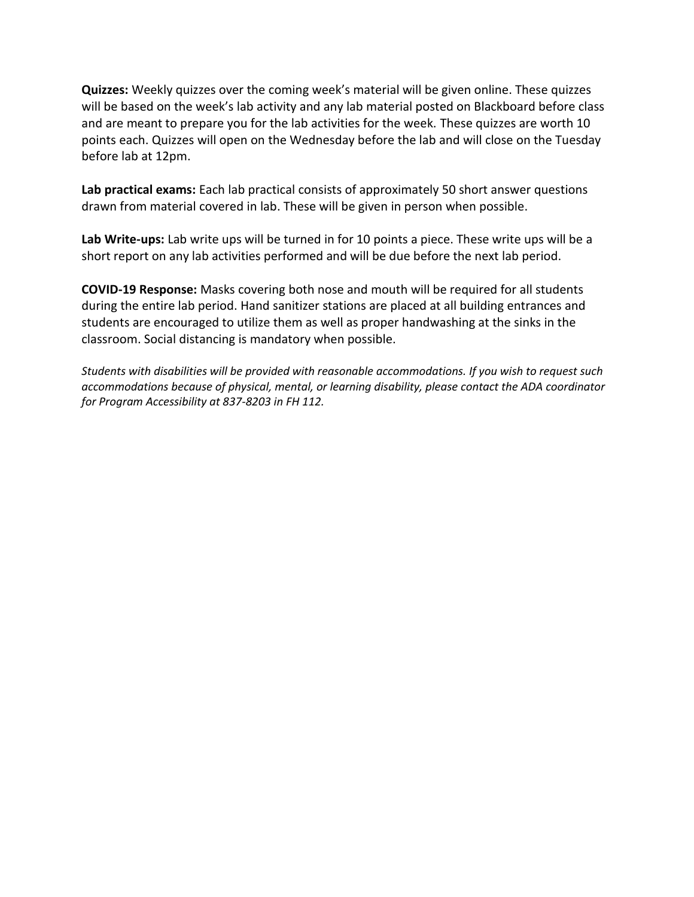**Quizzes:** Weekly quizzes over the coming week's material will be given online. These quizzes will be based on the week's lab activity and any lab material posted on Blackboard before class and are meant to prepare you for the lab activities for the week. These quizzes are worth 10 points each. Quizzes will open on the Wednesday before the lab and will close on the Tuesday before lab at 12pm.

**Lab practical exams:** Each lab practical consists of approximately 50 short answer questions drawn from material covered in lab. These will be given in person when possible.

**Lab Write-ups:** Lab write ups will be turned in for 10 points a piece. These write ups will be a short report on any lab activities performed and will be due before the next lab period.

**COVID-19 Response:** Masks covering both nose and mouth will be required for all students during the entire lab period. Hand sanitizer stations are placed at all building entrances and students are encouraged to utilize them as well as proper handwashing at the sinks in the classroom. Social distancing is mandatory when possible.

*Students with disabilities will be provided with reasonable accommodations. If you wish to request such accommodations because of physical, mental, or learning disability, please contact the ADA coordinator for Program Accessibility at 837-8203 in FH 112.*